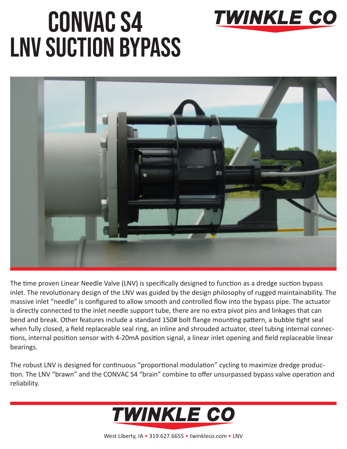

## CONVAC S4 LNV SUCTION BYPASS



The time proven Linear Needle Valve (LNV) is specifically designed to function as a dredge suction bypass inlet. The revolutionary design of the LNV was guided by the design philosophy of rugged maintainability. The massive inlet "needle" is configured to allow smooth and controlled flow into the bypass pipe. The actuator is directly connected to the inlet needle support tube, there are no extra pivot pins and linkages that can bend and break. Other features include a standard 150# bolt flange mounting pattern, a bubble tight seal when fully closed, a field replaceable seal ring, an inline and shrouded actuator, steel tubing internal connections, internal position sensor with 4-20mA position signal, a linear inlet opening and field replaceable linear bearings.

The robust LNV is designed for continuous "proportional modulation" cycling to maximize dredge production. The LNV "brawn" and the CONVAC S4 "brain" combine to offer unsurpassed bypass valve operation and reliability.